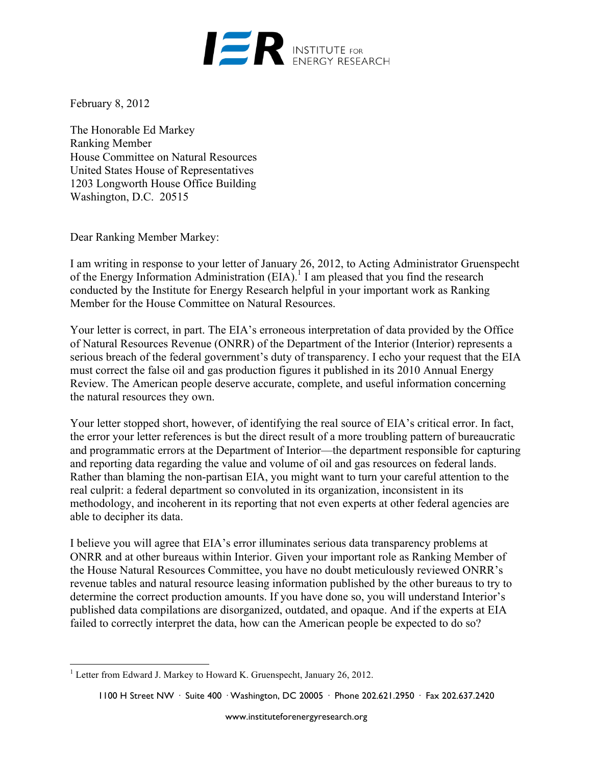

February 8, 2012

The Honorable Ed Markey Ranking Member House Committee on Natural Resources United States House of Representatives 1203 Longworth House Office Building Washington, D.C. 20515

Dear Ranking Member Markey:

I am writing in response to your letter of January 26, 2012, to Acting Administrator Gruenspecht of the Energy Information Administration  $(EIA)$ .<sup>1</sup> I am pleased that you find the research conducted by the Institute for Energy Research helpful in your important work as Ranking Member for the House Committee on Natural Resources.

Your letter is correct, in part. The EIA's erroneous interpretation of data provided by the Office of Natural Resources Revenue (ONRR) of the Department of the Interior (Interior) represents a serious breach of the federal government's duty of transparency. I echo your request that the EIA must correct the false oil and gas production figures it published in its 2010 Annual Energy Review. The American people deserve accurate, complete, and useful information concerning the natural resources they own.

Your letter stopped short, however, of identifying the real source of EIA's critical error. In fact, the error your letter references is but the direct result of a more troubling pattern of bureaucratic and programmatic errors at the Department of Interior—the department responsible for capturing and reporting data regarding the value and volume of oil and gas resources on federal lands. Rather than blaming the non-partisan EIA, you might want to turn your careful attention to the real culprit: a federal department so convoluted in its organization, inconsistent in its methodology, and incoherent in its reporting that not even experts at other federal agencies are able to decipher its data.

I believe you will agree that EIA's error illuminates serious data transparency problems at ONRR and at other bureaus within Interior. Given your important role as Ranking Member of the House Natural Resources Committee, you have no doubt meticulously reviewed ONRR's revenue tables and natural resource leasing information published by the other bureaus to try to determine the correct production amounts. If you have done so, you will understand Interior's published data compilations are disorganized, outdated, and opaque. And if the experts at EIA failed to correctly interpret the data, how can the American people be expected to do so?

<sup>&</sup>lt;sup>1</sup> Letter from Edward J. Markey to Howard K. Gruenspecht, January 26, 2012.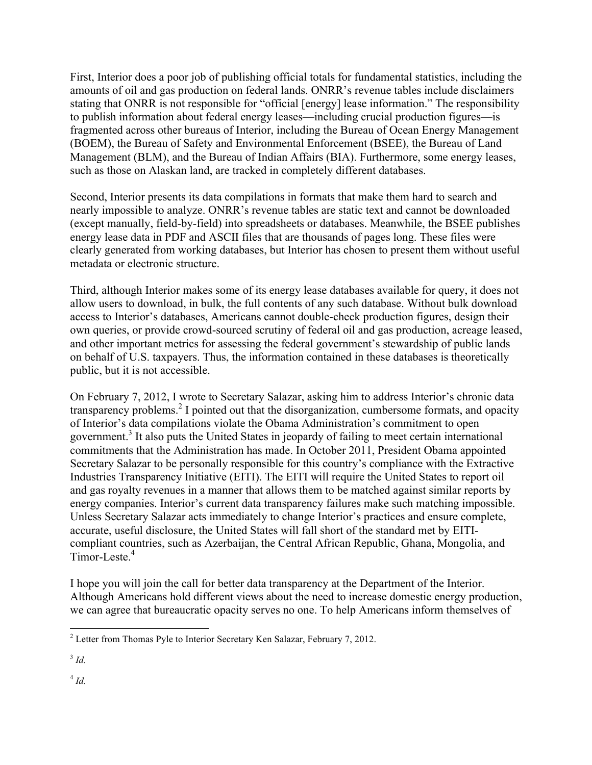First, Interior does a poor job of publishing official totals for fundamental statistics, including the amounts of oil and gas production on federal lands. ONRR's revenue tables include disclaimers stating that ONRR is not responsible for "official [energy] lease information." The responsibility to publish information about federal energy leases—including crucial production figures—is fragmented across other bureaus of Interior, including the Bureau of Ocean Energy Management (BOEM), the Bureau of Safety and Environmental Enforcement (BSEE), the Bureau of Land Management (BLM), and the Bureau of Indian Affairs (BIA). Furthermore, some energy leases, such as those on Alaskan land, are tracked in completely different databases.

Second, Interior presents its data compilations in formats that make them hard to search and nearly impossible to analyze. ONRR's revenue tables are static text and cannot be downloaded (except manually, field-by-field) into spreadsheets or databases. Meanwhile, the BSEE publishes energy lease data in PDF and ASCII files that are thousands of pages long. These files were clearly generated from working databases, but Interior has chosen to present them without useful metadata or electronic structure.

Third, although Interior makes some of its energy lease databases available for query, it does not allow users to download, in bulk, the full contents of any such database. Without bulk download access to Interior's databases, Americans cannot double-check production figures, design their own queries, or provide crowd-sourced scrutiny of federal oil and gas production, acreage leased, and other important metrics for assessing the federal government's stewardship of public lands on behalf of U.S. taxpayers. Thus, the information contained in these databases is theoretically public, but it is not accessible.

On February 7, 2012, I wrote to Secretary Salazar, asking him to address Interior's chronic data transparency problems.<sup>2</sup> I pointed out that the disorganization, cumbersome formats, and opacity of Interior's data compilations violate the Obama Administration's commitment to open government.<sup>3</sup> It also puts the United States in jeopardy of failing to meet certain international commitments that the Administration has made. In October 2011, President Obama appointed Secretary Salazar to be personally responsible for this country's compliance with the Extractive Industries Transparency Initiative (EITI). The EITI will require the United States to report oil and gas royalty revenues in a manner that allows them to be matched against similar reports by energy companies. Interior's current data transparency failures make such matching impossible. Unless Secretary Salazar acts immediately to change Interior's practices and ensure complete, accurate, useful disclosure, the United States will fall short of the standard met by EITIcompliant countries, such as Azerbaijan, the Central African Republic, Ghana, Mongolia, and  $T$ imor-Leste.<sup>4</sup>

I hope you will join the call for better data transparency at the Department of the Interior. Although Americans hold different views about the need to increase domestic energy production, we can agree that bureaucratic opacity serves no one. To help Americans inform themselves of

<sup>3</sup> *Id.*

 $^{4}$  *Id.* 

<sup>&</sup>lt;sup>2</sup> Letter from Thomas Pyle to Interior Secretary Ken Salazar, February 7, 2012.